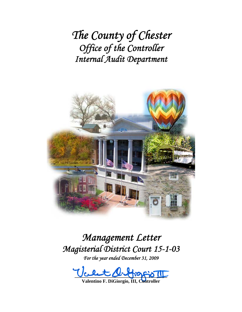*The County of Chester Office of the Controller Internal Audit Department*



# *Management Letter Magisterial District Court 15-1-03*

*For the year ended December 31, 2009* 

 $\underline{\text{max}}$ 

**Valentino F. DiGiorgio, III, Controller**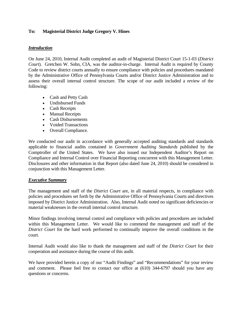## **To: Magisterial District Judge Gregory V. Hines**

## *Introduction*

On June 24, 2010, Internal Audit completed an audit of Magisterial District Court 15-1-03 (*District Court*). Gretchen W. Sohn, CIA, was the auditor-in-charge. Internal Audit is required by County Code to review district courts annually to ensure compliance with policies and procedures mandated by the Administrative Office of Pennsylvania Courts and/or District Justice Administration and to assess their overall internal control structure. The scope of our audit included a review of the following:

- Cash and Petty Cash
- Undisbursed Funds
- Cash Receipts
- Manual Receipts
- Cash Disbursements
- Voided Transactions
- Overall Compliance.

We conducted our audit in accordance with generally accepted auditing standards and standards applicable to financial audits contained in *Government Auditing Standards* published by the Comptroller of the United States. We have also issued our Independent Auditor's Report on Compliance and Internal Control over Financial Reporting concurrent with this Management Letter. Disclosures and other information in that Report (also dated June 24, 2010) should be considered in conjunction with this Management Letter.

## *Executive Summary*

The management and staff of the *District Court* are, in all material respects, in compliance with policies and procedures set forth by the Administrative Office of Pennsylvania Courts and directives imposed by District Justice Administration. Also, Internal Audit noted no significant deficiencies or material weaknesses in the overall internal control structure.

Minor findings involving internal control and compliance with policies and procedures are included within this Management Letter. We would like to commend the management and staff of the *District Court* for the hard work performed to continually improve the overall conditions in the court.

Internal Audit would also like to thank the management and staff of the *District Court* for their cooperation and assistance during the course of this audit.

We have provided herein a copy of our "Audit Findings" and "Recommendations" for your review and comment. Please feel free to contact our office at (610) 344-6797 should you have any questions or concerns.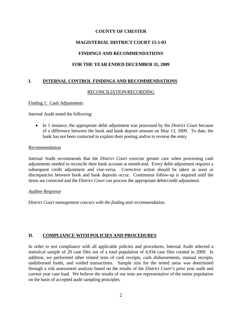## **MAGISTERIAL DISTRICT COURT 15-1-03**

# **FINDINGS AND RECOMMENDATIONS**

# **FOR THE YEAR ENDED DECEMBER 31, 2009**

# **I. INTERNAL CONTROL FINDINGS AND RECOMMENDATIONS**

## RECONCILIATION/RECORDING

Finding 1: Cash Adjustments

Internal Audit noted the following:

 In 1 instance, the appropriate debit adjustment was processed by the *District Court* because of a difference between the book and bank deposit amount on May 13, 2009. To date, the bank has not been contacted to explain their posting and/or to reverse the entry.

#### Recommendation

Internal Audit recommends that the *District Court* exercise greater care when processing cash adjustments needed to reconcile their bank account at month-end. Every debit adjustment requires a subsequent credit adjustment and vise-versa. Corrective action should be taken as soon as discrepancies between book and bank deposits occur. Continuous follow-up is required until the items are corrected and the *District Court* can process the appropriate debit/credit adjustment.

#### *Auditee Response*

*District Court management concurs with the finding and recommendation.* 

## **II. COMPLIANCE WITH POLICIES AND PROCEDURES**

In order to test compliance with all applicable policies and procedures, Internal Audit selected a statistical sample of 20 case files out of a total population of 4,934 case files created in 2009. In addition, we performed other related tests of cash receipts, cash disbursements, manual receipts, undisbursed funds, and voided transactions. Sample size for the tested areas was determined through a risk assessment analysis based on the results of the *District Court's* prior year audit and current year case load. We believe the results of our tests are representative of the entire population on the basis of accepted audit sampling principles.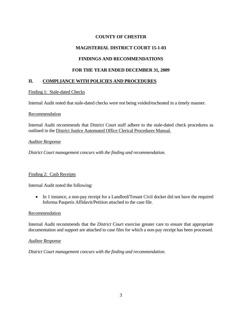# **MAGISTERIAL DISTRICT COURT 15-1-03**

# **FINDINGS AND RECOMMENDATIONS**

## **FOR THE YEAR ENDED DECEMBER 31, 2009**

# **II. COMPLIANCE WITH POLICIES AND PROCEDURES**

## Finding 1: Stale-dated Checks

Internal Audit noted that stale-dated checks were not being voided/escheated in a timely manner.

#### Recommendation

Internal Audit recommends that District Court staff adhere to the stale-dated check procedures as outlined in the District Justice Automated Office Clerical Procedures Manual.

#### *Auditee Response*

*District Court management concurs with the finding and recommendation.* 

## Finding 2: Cash Receipts

Internal Audit noted the following:

• In 1 instance, a non-pay receipt for a Landlord/Tenant Civil docket did not have the required Informa Pauperis Affidavit/Petition attached to the case file.

## Recommendation

Internal Audit recommends that the *District Court* exercise greater care to ensure that appropriate documentation and support are attached to case files for which a non-pay receipt has been processed.

## *Auditee Response*

*District Court management concurs with the finding and recommendation.*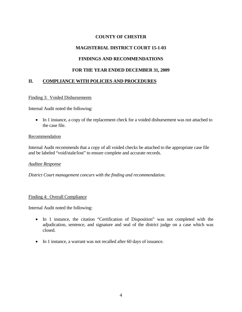# **MAGISTERIAL DISTRICT COURT 15-1-03**

# **FINDINGS AND RECOMMENDATIONS**

## **FOR THE YEAR ENDED DECEMBER 31, 2009**

# **II. COMPLIANCE WITH POLICIES AND PROCEDURES**

## Finding 3: Voided Disbursements

Internal Audit noted the following:

• In 1 instance, a copy of the replacement check for a voided disbursement was not attached to the case file.

#### **Recommendation**

Internal Audit recommends that a copy of all voided checks be attached to the appropriate case file and be labeled "void/stale/lost" to ensure complete and accurate records.

#### *Auditee Response*

*District Court management concurs with the finding and recommendation.* 

## Finding 4: Overall Compliance

Internal Audit noted the following:

- In 1 instance, the citation "Certification of Disposition" was not completed with the adjudication, sentence, and signature and seal of the district judge on a case which was closed.
- In 1 instance, a warrant was not recalled after 60 days of issuance.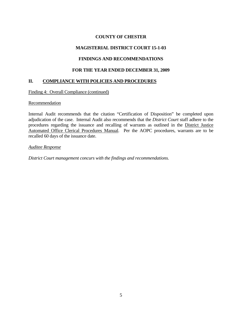# **MAGISTERIAL DISTRICT COURT 15-1-03**

# **FINDINGS AND RECOMMENDATIONS**

## **FOR THE YEAR ENDED DECEMBER 31, 2009**

# **II. COMPLIANCE WITH POLICIES AND PROCEDURES**

Finding 4: Overall Compliance (continued)

## **Recommendation**

Internal Audit recommends that the citation "Certification of Disposition" be completed upon adjudication of the case. Internal Audit also recommends that the *District Court* staff adhere to the procedures regarding the issuance and recalling of warrants as outlined in the District Justice Automated Office Clerical Procedures Manual. Per the AOPC procedures, warrants are to be recalled 60 days of the issuance date.

*Auditee Response*

*District Court management concurs with the findings and recommendations.*